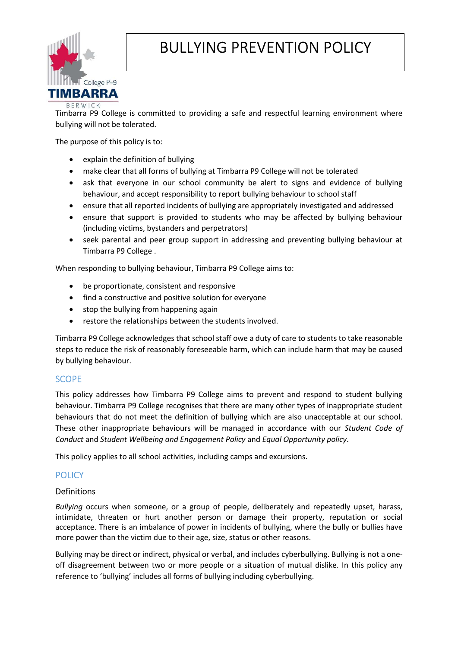

# BULLYING PREVENTION POLICY

Timbarra P9 College is committed to providing a safe and respectful learning environment where bullying will not be tolerated.

The purpose of this policy is to:

- explain the definition of bullying
- make clear that all forms of bullying at Timbarra P9 College will not be tolerated
- ask that everyone in our school community be alert to signs and evidence of bullying behaviour, and accept responsibility to report bullying behaviour to school staff
- ensure that all reported incidents of bullying are appropriately investigated and addressed
- ensure that support is provided to students who may be affected by bullying behaviour (including victims, bystanders and perpetrators)
- seek parental and peer group support in addressing and preventing bullying behaviour at Timbarra P9 College .

When responding to bullying behaviour, Timbarra P9 College aims to:

- be proportionate, consistent and responsive
- find a constructive and positive solution for everyone
- stop the bullying from happening again
- restore the relationships between the students involved.

Timbarra P9 College acknowledges that school staff owe a duty of care to students to take reasonable steps to reduce the risk of reasonably foreseeable harm, which can include harm that may be caused by bullying behaviour.

#### **SCOPE**

This policy addresses how Timbarra P9 College aims to prevent and respond to student bullying behaviour. Timbarra P9 College recognises that there are many other types of inappropriate student behaviours that do not meet the definition of bullying which are also unacceptable at our school. These other inappropriate behaviours will be managed in accordance with our Student Code of Conduct and Student Wellbeing and Engagement Policy and Equal Opportunity policy.

This policy applies to all school activities, including camps and excursions.

# **POLICY**

#### Definitions

Bullying occurs when someone, or a group of people, deliberately and repeatedly upset, harass, intimidate, threaten or hurt another person or damage their property, reputation or social acceptance. There is an imbalance of power in incidents of bullying, where the bully or bullies have more power than the victim due to their age, size, status or other reasons.

Bullying may be direct or indirect, physical or verbal, and includes cyberbullying. Bullying is not a oneoff disagreement between two or more people or a situation of mutual dislike. In this policy any reference to 'bullying' includes all forms of bullying including cyberbullying.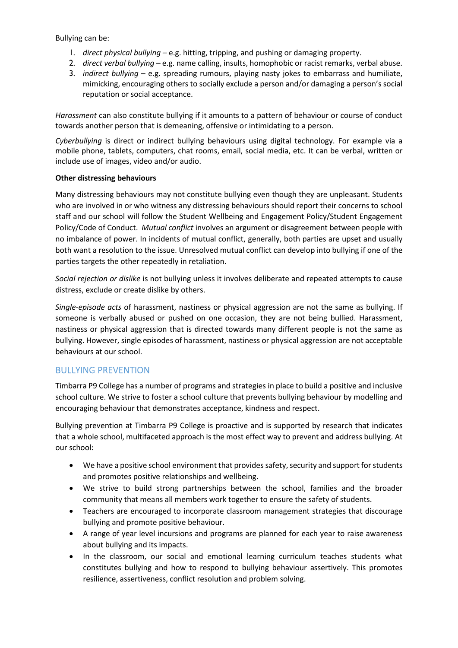Bullying can be:

- 1. direct physical bullying e.g. hitting, tripping, and pushing or damaging property.
- 2. direct verbal bullying e.g. name calling, insults, homophobic or racist remarks, verbal abuse.
- 3. *indirect bullying e.g.* spreading rumours, playing nasty jokes to embarrass and humiliate, mimicking, encouraging others to socially exclude a person and/or damaging a person's social reputation or social acceptance.

Harassment can also constitute bullying if it amounts to a pattern of behaviour or course of conduct towards another person that is demeaning, offensive or intimidating to a person.

Cyberbullying is direct or indirect bullying behaviours using digital technology. For example via a mobile phone, tablets, computers, chat rooms, email, social media, etc. It can be verbal, written or include use of images, video and/or audio.

#### Other distressing behaviours

Many distressing behaviours may not constitute bullying even though they are unpleasant. Students who are involved in or who witness any distressing behaviours should report their concerns to school staff and our school will follow the Student Wellbeing and Engagement Policy/Student Engagement Policy/Code of Conduct. Mutual conflict involves an argument or disagreement between people with no imbalance of power. In incidents of mutual conflict, generally, both parties are upset and usually both want a resolution to the issue. Unresolved mutual conflict can develop into bullying if one of the parties targets the other repeatedly in retaliation.

Social rejection or dislike is not bullying unless it involves deliberate and repeated attempts to cause distress, exclude or create dislike by others.

Single-episode acts of harassment, nastiness or physical aggression are not the same as bullying. If someone is verbally abused or pushed on one occasion, they are not being bullied. Harassment, nastiness or physical aggression that is directed towards many different people is not the same as bullying. However, single episodes of harassment, nastiness or physical aggression are not acceptable behaviours at our school.

# BULLYING PREVENTION

Timbarra P9 College has a number of programs and strategies in place to build a positive and inclusive school culture. We strive to foster a school culture that prevents bullying behaviour by modelling and encouraging behaviour that demonstrates acceptance, kindness and respect.

Bullying prevention at Timbarra P9 College is proactive and is supported by research that indicates that a whole school, multifaceted approach is the most effect way to prevent and address bullying. At our school:

- We have a positive school environment that provides safety, security and support for students and promotes positive relationships and wellbeing.
- We strive to build strong partnerships between the school, families and the broader community that means all members work together to ensure the safety of students.
- Teachers are encouraged to incorporate classroom management strategies that discourage bullying and promote positive behaviour.
- A range of year level incursions and programs are planned for each year to raise awareness about bullying and its impacts.
- In the classroom, our social and emotional learning curriculum teaches students what constitutes bullying and how to respond to bullying behaviour assertively. This promotes resilience, assertiveness, conflict resolution and problem solving.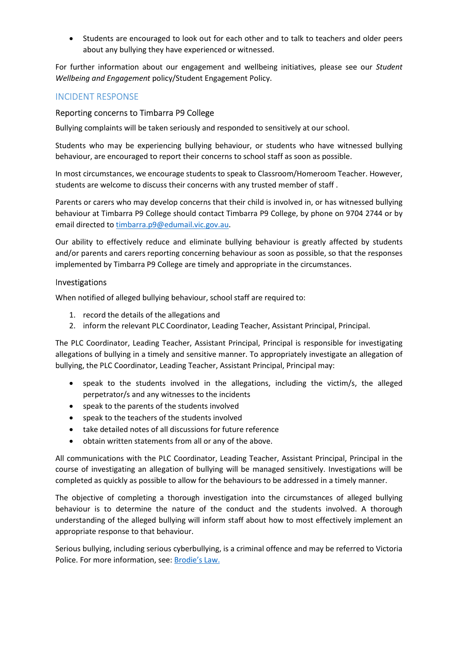Students are encouraged to look out for each other and to talk to teachers and older peers about any bullying they have experienced or witnessed.

For further information about our engagement and wellbeing initiatives, please see our Student Wellbeing and Engagement policy/Student Engagement Policy.

### INCIDENT RESPONSE

#### Reporting concerns to Timbarra P9 College

Bullying complaints will be taken seriously and responded to sensitively at our school.

Students who may be experiencing bullying behaviour, or students who have witnessed bullying behaviour, are encouraged to report their concerns to school staff as soon as possible.

In most circumstances, we encourage students to speak to Classroom/Homeroom Teacher. However, students are welcome to discuss their concerns with any trusted member of staff .

Parents or carers who may develop concerns that their child is involved in, or has witnessed bullying behaviour at Timbarra P9 College should contact Timbarra P9 College, by phone on 9704 2744 or by email directed to timbarra.p9@edumail.vic.gov.au.

Our ability to effectively reduce and eliminate bullying behaviour is greatly affected by students and/or parents and carers reporting concerning behaviour as soon as possible, so that the responses implemented by Timbarra P9 College are timely and appropriate in the circumstances.

#### Investigations

When notified of alleged bullying behaviour, school staff are required to:

- 1. record the details of the allegations and
- 2. inform the relevant PLC Coordinator, Leading Teacher, Assistant Principal, Principal.

The PLC Coordinator, Leading Teacher, Assistant Principal, Principal is responsible for investigating allegations of bullying in a timely and sensitive manner. To appropriately investigate an allegation of bullying, the PLC Coordinator, Leading Teacher, Assistant Principal, Principal may:

- speak to the students involved in the allegations, including the victim/s, the alleged perpetrator/s and any witnesses to the incidents
- speak to the parents of the students involved
- speak to the teachers of the students involved
- take detailed notes of all discussions for future reference
- obtain written statements from all or any of the above.

All communications with the PLC Coordinator, Leading Teacher, Assistant Principal, Principal in the course of investigating an allegation of bullying will be managed sensitively. Investigations will be completed as quickly as possible to allow for the behaviours to be addressed in a timely manner.

The objective of completing a thorough investigation into the circumstances of alleged bullying behaviour is to determine the nature of the conduct and the students involved. A thorough understanding of the alleged bullying will inform staff about how to most effectively implement an appropriate response to that behaviour.

Serious bullying, including serious cyberbullying, is a criminal offence and may be referred to Victoria Police. For more information, see: Brodie's Law.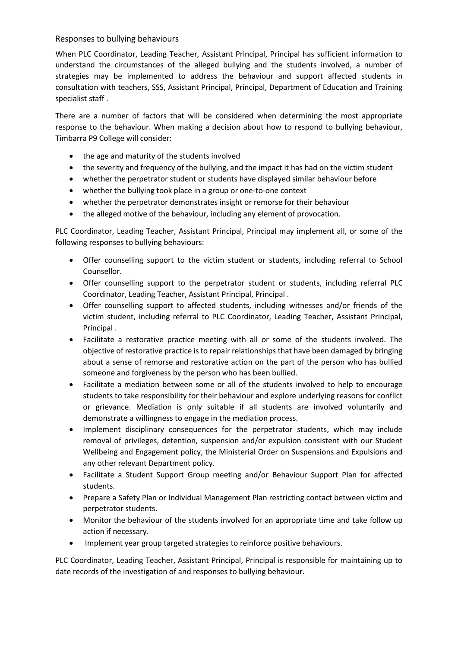## Responses to bullying behaviours

When PLC Coordinator, Leading Teacher, Assistant Principal, Principal has sufficient information to understand the circumstances of the alleged bullying and the students involved, a number of strategies may be implemented to address the behaviour and support affected students in consultation with teachers, SSS, Assistant Principal, Principal, Department of Education and Training specialist staff .

There are a number of factors that will be considered when determining the most appropriate response to the behaviour. When making a decision about how to respond to bullying behaviour, Timbarra P9 College will consider:

- the age and maturity of the students involved
- the severity and frequency of the bullying, and the impact it has had on the victim student
- whether the perpetrator student or students have displayed similar behaviour before
- whether the bullying took place in a group or one-to-one context
- whether the perpetrator demonstrates insight or remorse for their behaviour
- the alleged motive of the behaviour, including any element of provocation.

PLC Coordinator, Leading Teacher, Assistant Principal, Principal may implement all, or some of the following responses to bullying behaviours:

- Offer counselling support to the victim student or students, including referral to School Counsellor.
- Offer counselling support to the perpetrator student or students, including referral PLC Coordinator, Leading Teacher, Assistant Principal, Principal .
- Offer counselling support to affected students, including witnesses and/or friends of the victim student, including referral to PLC Coordinator, Leading Teacher, Assistant Principal, Principal .
- Facilitate a restorative practice meeting with all or some of the students involved. The objective of restorative practice is to repair relationships that have been damaged by bringing about a sense of remorse and restorative action on the part of the person who has bullied someone and forgiveness by the person who has been bullied.
- Facilitate a mediation between some or all of the students involved to help to encourage students to take responsibility for their behaviour and explore underlying reasons for conflict or grievance. Mediation is only suitable if all students are involved voluntarily and demonstrate a willingness to engage in the mediation process.
- Implement disciplinary consequences for the perpetrator students, which may include removal of privileges, detention, suspension and/or expulsion consistent with our Student Wellbeing and Engagement policy, the Ministerial Order on Suspensions and Expulsions and any other relevant Department policy.
- Facilitate a Student Support Group meeting and/or Behaviour Support Plan for affected students.
- Prepare a Safety Plan or Individual Management Plan restricting contact between victim and perpetrator students.
- Monitor the behaviour of the students involved for an appropriate time and take follow up action if necessary.
- Implement year group targeted strategies to reinforce positive behaviours.

PLC Coordinator, Leading Teacher, Assistant Principal, Principal is responsible for maintaining up to date records of the investigation of and responses to bullying behaviour.